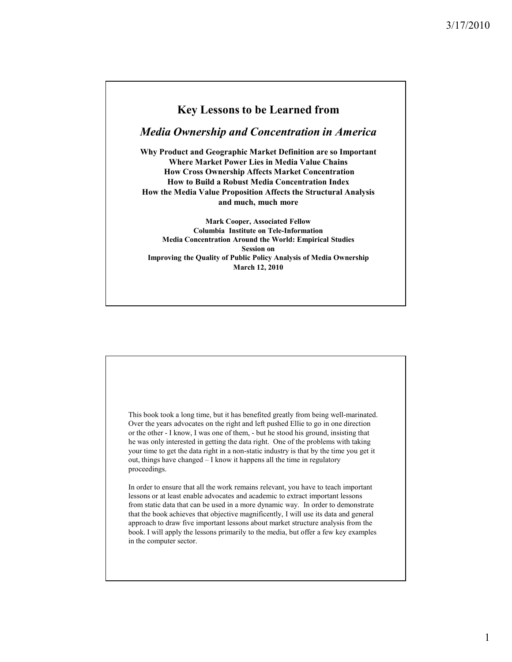## **Key Lessons to be Learned from**

*Media Ownership and Concentration in America*

**Why Product and Geographic Market Definition are so Important Where Market Power Lies in Media Value Chains How Cross Ownership Affects Market Concentration How to Build a Robust Media Concentration Index How the Media Value Proposition Affects the Structural Analysis and much, much more**

**Mark Cooper, Associated Fellow Columbia Institute on Tele-Information Media Concentration Around the World: Empirical Studies Session on Improving the Quality of Public Policy Analysis of Media Ownership March 12, 2010**

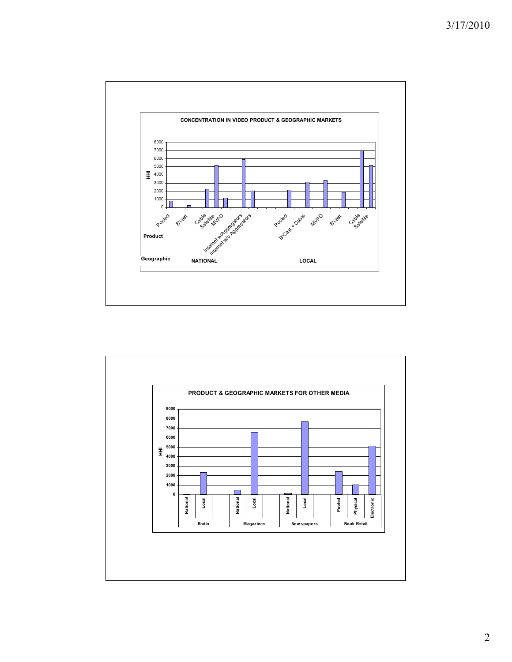

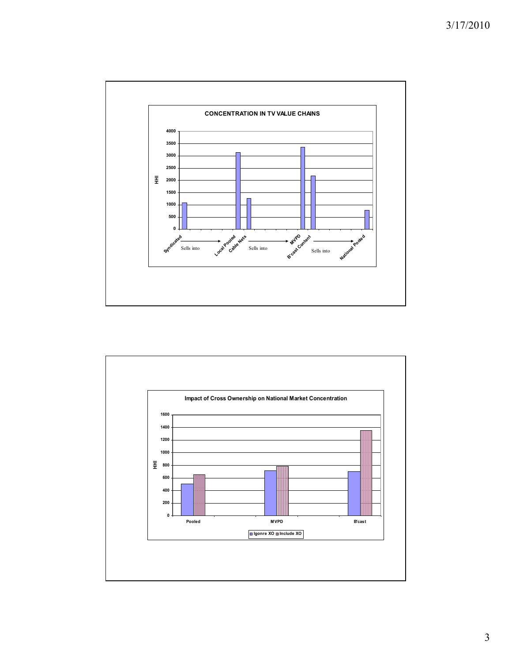

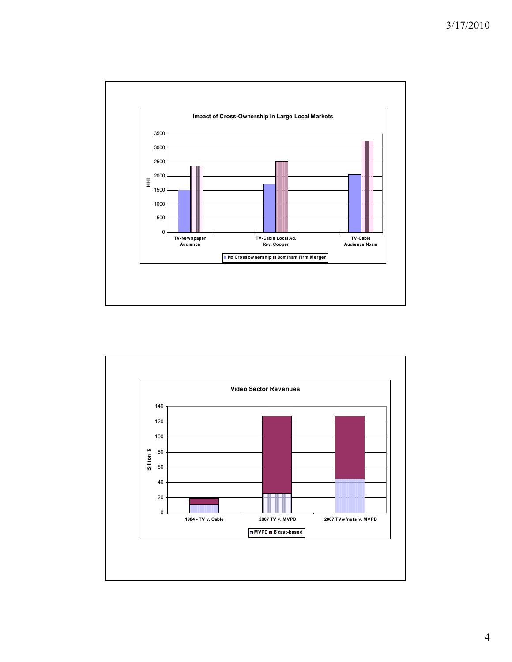

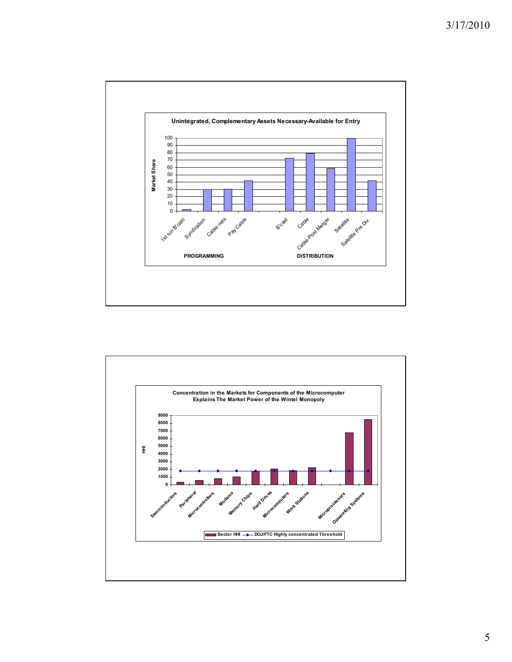

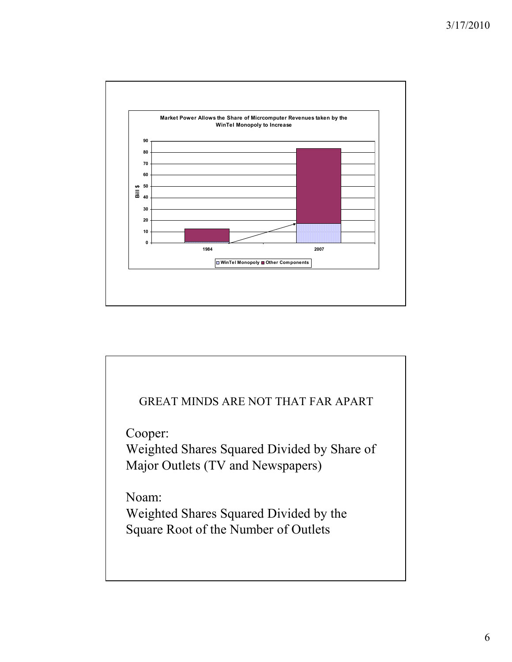

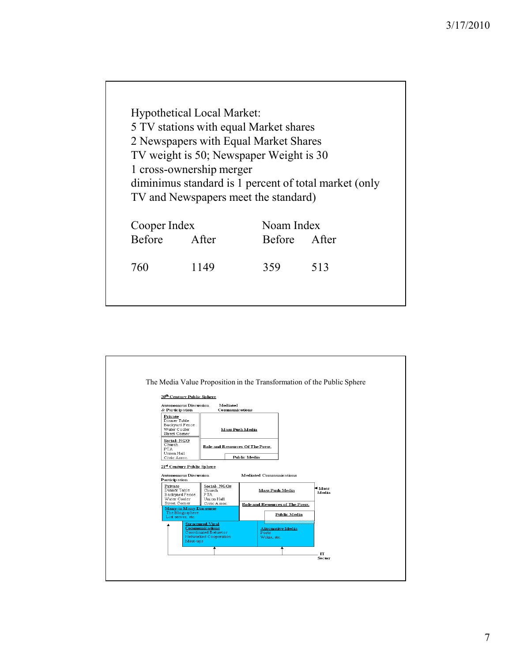Hypothetical Local Market: 5 TV stations with equal Market shares 2 Newspapers with Equal Market Shares TV weight is 50; Newspaper Weight is 30 1 cross-ownership merger diminimus standard is 1 percent of total market (only TV and Newspapers meet the standard) Cooper Index Noam Index Before After Before After 760 1149 359 513

| 20 <sup>th</sup> Century Public Sphere                                                                                                         |                                                                                                    |                      |                                                                                          |  |
|------------------------------------------------------------------------------------------------------------------------------------------------|----------------------------------------------------------------------------------------------------|----------------------|------------------------------------------------------------------------------------------|--|
| <b>Autonomous Discussion</b><br>& Participation                                                                                                | Mediated<br>Communications                                                                         |                      |                                                                                          |  |
| Private<br>Dinner Table<br>Backyard Fence<br>Water Cooler<br>Street Comer                                                                      | <b>Mass Push Media</b>                                                                             |                      |                                                                                          |  |
| Social-NGO<br>Church<br><b>PTA</b><br>Union Hall<br>Civic Assoc.                                                                               | Role and Resources Of The Press.<br>Public Media                                                   |                      |                                                                                          |  |
| Participation<br>Private<br>Dinner Table<br>Backyard Fence<br>Water Cooler<br>Street Comer<br><b>Many-to Many Discourse</b><br>The Blogosphere | Social-NGOs<br>Church<br><b>PTA</b><br>Union Hall<br>Civic Assoc.                                  |                      | <b>Mass Push Media</b><br><b>Role and Resources of The Press.</b><br><b>Public Media</b> |  |
| List serves, etc.<br>Meet-ups                                                                                                                  | <b>Structured Viral</b><br><b>Communications</b><br>Coordinated B chavior<br>Networked Cooperation | Posts<br>Wikis, etc. | <b>Alternative Media</b>                                                                 |  |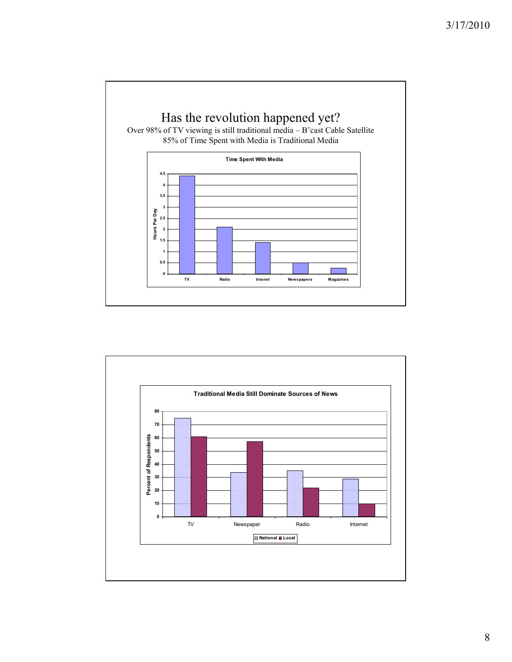